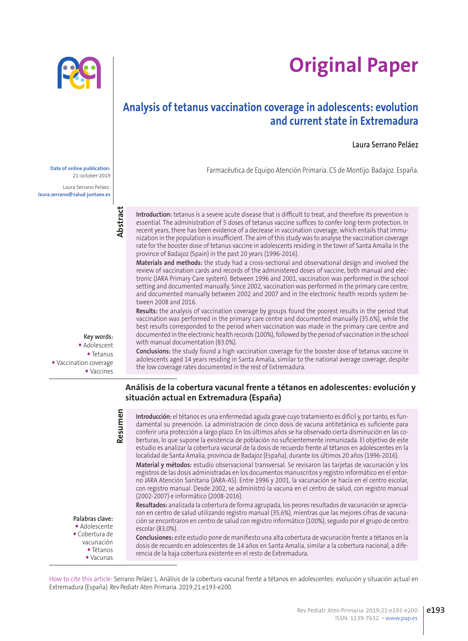# **Original Paper**

# **Analysis of tetanus vaccination coverage in adolescents: evolution and current state in Extremadura**

### **Laura Serrano Peláez**

Farmacéutica de Equipo Atención Primaria. CS de Montijo. Badajoz. España. **Date of online publication:**

**Introduction:** tetanus is a severe acute disease that is difficult to treat, and therefore its prevention is essential. The administration of 5 doses of tetanus vaccine suffices to confer long-term protection. In recent years, there has been evidence of a decrease in vaccination coverage, which entails that immunization in the population is insufficient. The aim of this study was to analyse the vaccination coverage rate for the booster dose of tetanus vaccine in adolescents residing in the town of Santa Amalia in the province of Badajoz (Spain) in the past 20 years (1996-2016).

**Materials and methods:** the study had a cross-sectional and observational design and involved the review of vaccination cards and records of the administered doses of vaccine, both manual and electronic (JARA Primary Care system). Between 1996 and 2001, vaccination was performed in the school setting and documented manually. Since 2002, vaccination was performed in the primary care centre, and documented manually between 2002 and 2007 and in the electronic health records system between 2008 and 2016.

**Results:** the analysis of vaccination coverage by groups found the poorest results in the period that vaccination was performed in the primary care centre and documented manually (35.6%), while the best results corresponded to the period when vaccination was made in the primary care centre and documented in the electronic health records (100%), followed by the period of vaccination in the school with manual documentation (83.0%).

**Conclusions:** the study found a high vaccination coverage for the booster dose of tetanus vaccine in adolescents aged 14 years residing in Santa Amalia, similar to the national average coverage, despite the low coverage rates documented in the rest of Extremadura.

#### **Análisis de la cobertura vacunal frente a tétanos en adolescentes: evolución y situación actual en Extremadura (España)**

**Introducción:** el tétanos es una enfermedad aguda grave cuyo tratamiento es difícil y, por tanto, es fundamental su prevención. La administración de cinco dosis de vacuna antitetánica es suficiente para conferir una protección a largo plazo. En los últimos años se ha observado cierta disminución en las coberturas, lo que supone la existencia de población no suficientemente inmunizada. El objetivo de este estudio es analizar la cobertura vacunal de la dosis de recuerdo frente al tétanos en adolescentes en la localidad de Santa Amalia, provincia de Badajoz (España), durante los últimos 20 años (1996-2016). **Material y métodos:** estudio observacional transversal. Se revisaron las tarjetas de vacunación y los

registros de las dosis administradas en los documentos manuscritos y registro informático en el entorno JARA Atención Sanitaria (JARA-AS). Entre 1996 y 2001, la vacunación se hacía en el centro escolar, con registro manual. Desde 2002, se administró la vacuna en el centro de salud, con registro manual (2002-2007) e informático (2008-2016).

**Resultados:** analizada la cobertura de forma agrupada, los peores resultados de vacunación se apreciaron en centro de salud utilizando registro manual (35,6%), mientras que las mejores cifras de vacunación se encontraron en centro de salud con registro informático (100%), seguido por el grupo de centro escolar (83,0%).

**Conclusiones:** este estudio pone de manifiesto una alta cobertura de vacunación frente a tétanos en la dosis de recuerdo en adolescentes de 14 años en Santa Amalia, similar a la cobertura nacional, a diferencia de la baja cobertura existente en el resto de Extremadura.



21-october-2019

Laura Serrano Peláez: **laura.serrano@salud-juntaex.es**



**Resumen** 

**Key words:** Adolescent Tetanus Vaccination coverage Vaccines

> **Palabras clave:** Adolescente Cobertura de vacunación Tétanos Vacunas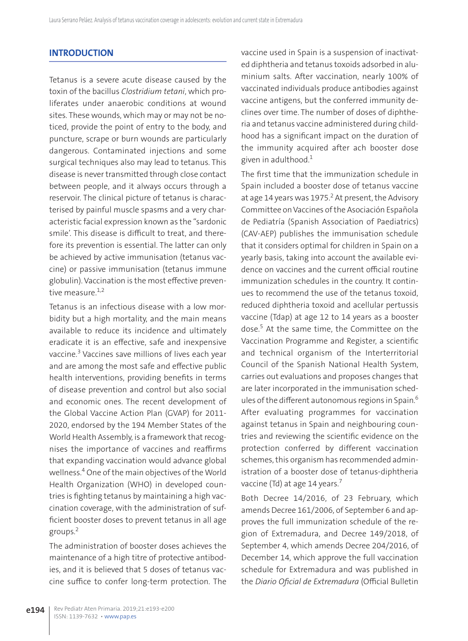# **INTRODUCTION**

Tetanus is a severe acute disease caused by the toxin of the bacillus *Clostridium tetani*, which proliferates under anaerobic conditions at wound sites. These wounds, which may or may not be noticed, provide the point of entry to the body, and puncture, scrape or burn wounds are particularly dangerous. Contaminated injections and some surgical techniques also may lead to tetanus. This disease is never transmitted through close contact between people, and it always occurs through a reservoir. The clinical picture of tetanus is characterised by painful muscle spasms and a very characteristic facial expression known as the "sardonic smile'. This disease is difficult to treat, and therefore its prevention is essential. The latter can only be achieved by active immunisation (tetanus vaccine) or passive immunisation (tetanus immune globulin). Vaccination is the most effective preventive measure.<sup>1,2</sup>

Tetanus is an infectious disease with a low morbidity but a high mortality, and the main means available to reduce its incidence and ultimately eradicate it is an effective, safe and inexpensive vaccine.<sup>3</sup> Vaccines save millions of lives each year and are among the most safe and effective public health interventions, providing benefits in terms of disease prevention and control but also social and economic ones. The recent development of the Global Vaccine Action Plan (GVAP) for 2011- 2020, endorsed by the 194 Member States of the World Health Assembly, is a framework that recognises the importance of vaccines and reaffirms that expanding vaccination would advance global wellness.4 One of the main objectives of the World Health Organization (WHO) in developed countries is fighting tetanus by maintaining a high vaccination coverage, with the administration of sufficient booster doses to prevent tetanus in all age groups.2

The administration of booster doses achieves the maintenance of a high titre of protective antibodies, and it is believed that 5 doses of tetanus vaccine suffice to confer long-term protection. The vaccine used in Spain is a suspension of inactivated diphtheria and tetanus toxoids adsorbed in aluminium salts. After vaccination, nearly 100% of vaccinated individuals produce antibodies against vaccine antigens, but the conferred immunity declines over time. The number of doses of diphtheria and tetanus vaccine administered during childhood has a significant impact on the duration of the immunity acquired after ach booster dose given in adulthood. $1$ 

The first time that the immunization schedule in Spain included a booster dose of tetanus vaccine at age 14 years was 1975.<sup>2</sup> At present, the Advisory Committee on Vaccines of the Asociación Española de Pediatría (Spanish Association of Paediatrics) (CAV-AEP) publishes the immunisation schedule that it considers optimal for children in Spain on a yearly basis, taking into account the available evidence on vaccines and the current official routine immunization schedules in the country. It continues to recommend the use of the tetanus toxoid, reduced diphtheria toxoid and acellular pertussis vaccine (Tdap) at age 12 to 14 years as a booster dose.<sup>5</sup> At the same time, the Committee on the Vaccination Programme and Register, a scientific and technical organism of the Interterritorial Council of the Spanish National Health System, carries out evaluations and proposes changes that are later incorporated in the immunisation schedules of the different autonomous regions in Spain.<sup>6</sup> After evaluating programmes for vaccination against tetanus in Spain and neighbouring countries and reviewing the scientific evidence on the protection conferred by different vaccination schemes, this organism has recommended administration of a booster dose of tetanus-diphtheria vaccine (Td) at age 14 years.<sup>7</sup>

Both Decree 14/2016, of 23 February, which amends Decree 161/2006, of September 6 and approves the full immunization schedule of the region of Extremadura, and Decree 149/2018, of September 4, which amends Decree 204/2016, of December 14, which approve the full vaccination schedule for Extremadura and was published in the *Diario Oficial de Extremadura* (Official Bulletin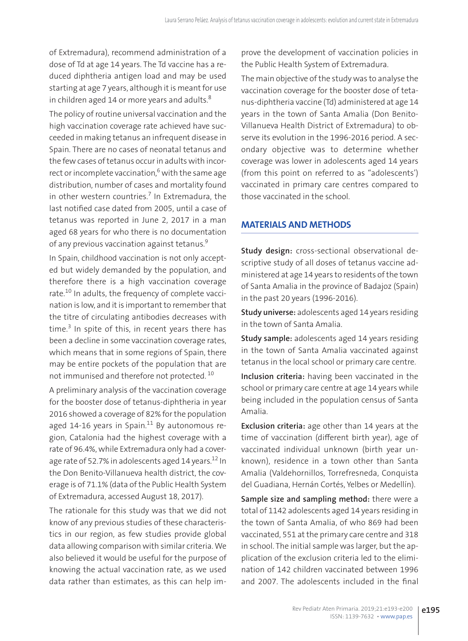of Extremadura), recommend administration of a dose of Td at age 14 years. The Td vaccine has a reduced diphtheria antigen load and may be used starting at age 7 years, although it is meant for use in children aged 14 or more years and adults. $8$ 

The policy of routine universal vaccination and the high vaccination coverage rate achieved have succeeded in making tetanus an infrequent disease in Spain. There are no cases of neonatal tetanus and the few cases of tetanus occur in adults with incorrect or incomplete vaccination,<sup>6</sup> with the same age distribution, number of cases and mortality found in other western countries.<sup>7</sup> In Extremadura, the last notified case dated from 2005, until a case of tetanus was reported in June 2, 2017 in a man aged 68 years for who there is no documentation of any previous vaccination against tetanus.<sup>9</sup>

In Spain, childhood vaccination is not only accepted but widely demanded by the population, and therefore there is a high vaccination coverage rate.<sup>10</sup> In adults, the frequency of complete vaccination is low, and it is important to remember that the titre of circulating antibodies decreases with time.<sup>3</sup> In spite of this, in recent years there has been a decline in some vaccination coverage rates, which means that in some regions of Spain, there may be entire pockets of the population that are not immunised and therefore not protected. 10

A preliminary analysis of the vaccination coverage for the booster dose of tetanus-diphtheria in year 2016 showed a coverage of 82% for the population aged  $14-16$  years in Spain.<sup>11</sup> By autonomous region, Catalonia had the highest coverage with a rate of 96.4%, while Extremadura only had a coverage rate of 52.7% in adolescents aged 14 years.<sup>12</sup> In the Don Benito-Villanueva health district, the coverage is of 71.1% (data of the Public Health System of Extremadura, accessed August 18, 2017).

The rationale for this study was that we did not know of any previous studies of these characteristics in our region, as few studies provide global data allowing comparison with similar criteria. We also believed it would be useful for the purpose of knowing the actual vaccination rate, as we used data rather than estimates, as this can help im-

prove the development of vaccination policies in the Public Health System of Extremadura.

The main objective of the study was to analyse the vaccination coverage for the booster dose of tetanus-diphtheria vaccine (Td) administered at age 14 years in the town of Santa Amalia (Don Benito-Villanueva Health District of Extremadura) to observe its evolution in the 1996-2016 period. A secondary objective was to determine whether coverage was lower in adolescents aged 14 years (from this point on referred to as "adolescents') vaccinated in primary care centres compared to those vaccinated in the school.

# **MATERIALS AND METHODS**

**Study design:** cross-sectional observational descriptive study of all doses of tetanus vaccine administered at age 14 years to residents of the town of Santa Amalia in the province of Badajoz (Spain) in the past 20 years (1996-2016).

**Study universe:** adolescents aged 14 years residing in the town of Santa Amalia.

**Study sample:** adolescents aged 14 years residing in the town of Santa Amalia vaccinated against tetanus in the local school or primary care centre.

**Inclusion criteria:** having been vaccinated in the school or primary care centre at age 14 years while being included in the population census of Santa Amalia.

**Exclusion criteria:** age other than 14 years at the time of vaccination (different birth year), age of vaccinated individual unknown (birth year unknown), residence in a town other than Santa Amalia (Valdehornillos, Torrefresneda, Conquista del Guadiana, Hernán Cortés, Yelbes or Medellín).

**Sample size and sampling method:** there were a total of 1142 adolescents aged 14 years residing in the town of Santa Amalia, of who 869 had been vaccinated, 551 at the primary care centre and 318 in school. The initial sample was larger, but the application of the exclusion criteria led to the elimination of 142 children vaccinated between 1996 and 2007. The adolescents included in the final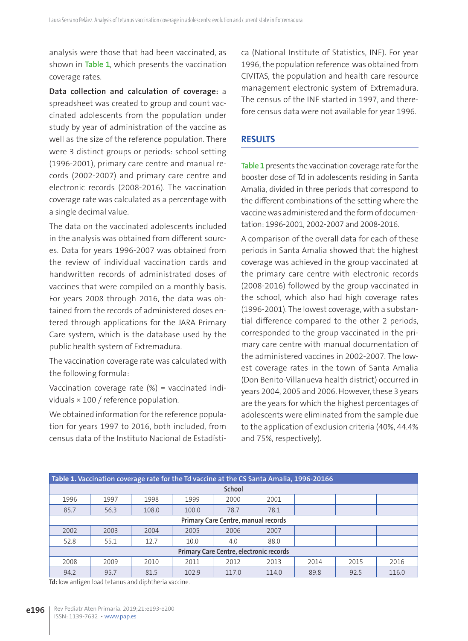analysis were those that had been vaccinated, as shown in **Table 1**, which presents the vaccination coverage rates.

**Data collection and calculation of coverage:** a spreadsheet was created to group and count vaccinated adolescents from the population under study by year of administration of the vaccine as well as the size of the reference population. There were 3 distinct groups or periods: school setting (1996-2001), primary care centre and manual records (2002-2007) and primary care centre and electronic records (2008-2016). The vaccination coverage rate was calculated as a percentage with a single decimal value.

The data on the vaccinated adolescents included in the analysis was obtained from different sources. Data for years 1996-2007 was obtained from the review of individual vaccination cards and handwritten records of administrated doses of vaccines that were compiled on a monthly basis. For years 2008 through 2016, the data was obtained from the records of administered doses entered through applications for the JARA Primary Care system, which is the database used by the public health system of Extremadura.

The vaccination coverage rate was calculated with the following formula:

Vaccination coverage rate (%) = vaccinated individuals × 100 / reference population.

We obtained information for the reference population for years 1997 to 2016, both included, from census data of the Instituto Nacional de Estadística (National Institute of Statistics, INE). For year 1996, the population reference was obtained from CIVITAS, the population and health care resource management electronic system of Extremadura. The census of the INE started in 1997, and therefore census data were not available for year 1996.

### **RESULTS**

**Table 1** presents the vaccination coverage rate for the booster dose of Td in adolescents residing in Santa Amalia, divided in three periods that correspond to the different combinations of the setting where the vaccine was administered and the form of documentation: 1996-2001, 2002-2007 and 2008-2016.

A comparison of the overall data for each of these periods in Santa Amalia showed that the highest coverage was achieved in the group vaccinated at the primary care centre with electronic records (2008-2016) followed by the group vaccinated in the school, which also had high coverage rates (1996-2001). The lowest coverage, with a substantial difference compared to the other 2 periods, corresponded to the group vaccinated in the primary care centre with manual documentation of the administered vaccines in 2002-2007. The lowest coverage rates in the town of Santa Amalia (Don Benito-Villanueva health district) occurred in years 2004, 2005 and 2006. However, these 3 years are the years for which the highest percentages of adolescents were eliminated from the sample due to the application of exclusion criteria (40%, 44.4% and 75%, respectively).

| Table 1. Vaccination coverage rate for the Td vaccine at the CS Santa Amalia, 1996-20166 |      |       |       |       |       |      |      |       |
|------------------------------------------------------------------------------------------|------|-------|-------|-------|-------|------|------|-------|
| School                                                                                   |      |       |       |       |       |      |      |       |
| 1996                                                                                     | 1997 | 1998  | 1999  | 2000  | 2001  |      |      |       |
| 85.7                                                                                     | 56.3 | 108.0 | 100.0 | 78.7  | 78.1  |      |      |       |
| Primary Care Centre, manual records                                                      |      |       |       |       |       |      |      |       |
| 2002                                                                                     | 2003 | 2004  | 2005  | 2006  | 2007  |      |      |       |
| 52.8                                                                                     | 55.1 | 12.7  | 10.0  | 4.0   | 88.0  |      |      |       |
| Primary Care Centre, electronic records                                                  |      |       |       |       |       |      |      |       |
| 2008                                                                                     | 2009 | 2010  | 2011  | 2012  | 2013  | 2014 | 2015 | 2016  |
| 94.2                                                                                     | 95.7 | 81.5  | 102.9 | 117.0 | 114.0 | 89.8 | 92.5 | 116.0 |

**Td:** low antigen load tetanus and diphtheria vaccine.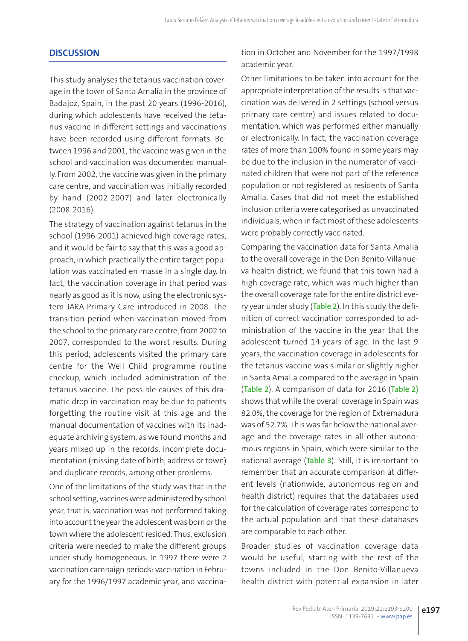## **DISCUSSION**

This study analyses the tetanus vaccination coverage in the town of Santa Amalia in the province of Badajoz, Spain, in the past 20 years (1996-2016), during which adolescents have received the tetanus vaccine in different settings and vaccinations have been recorded using different formats. Between 1996 and 2001, the vaccine was given in the school and vaccination was documented manually. From 2002, the vaccine was given in the primary care centre, and vaccination was initially recorded by hand (2002-2007) and later electronically (2008-2016).

The strategy of vaccination against tetanus in the school (1996-2001) achieved high coverage rates, and it would be fair to say that this was a good approach, in which practically the entire target population was vaccinated en masse in a single day. In fact, the vaccination coverage in that period was nearly as good as it is now, using the electronic system JARA-Primary Care introduced in 2008. The transition period when vaccination moved from the school to the primary care centre, from 2002 to 2007, corresponded to the worst results. During this period, adolescents visited the primary care centre for the Well Child programme routine checkup, which included administration of the tetanus vaccine. The possible causes of this dramatic drop in vaccination may be due to patients forgetting the routine visit at this age and the manual documentation of vaccines with its inadequate archiving system, as we found months and years mixed up in the records, incomplete documentation (missing date of birth, address or town) and duplicate records, among other problems.

One of the limitations of the study was that in the school setting, vaccines were administered by school year, that is, vaccination was not performed taking into account the year the adolescent was born or the town where the adolescent resided. Thus, exclusion criteria were needed to make the different groups under study homogeneous. In 1997 there were 2 vaccination campaign periods: vaccination in February for the 1996/1997 academic year, and vaccination in October and November for the 1997/1998 academic year.

Other limitations to be taken into account for the appropriate interpretation of the results is that vaccination was delivered in 2 settings (school versus primary care centre) and issues related to documentation, which was performed either manually or electronically. In fact, the vaccination coverage rates of more than 100% found in some years may be due to the inclusion in the numerator of vaccinated children that were not part of the reference population or not registered as residents of Santa Amalia. Cases that did not meet the established inclusion criteria were categorised as unvaccinated individuals, when in fact most of these adolescents were probably correctly vaccinated.

Comparing the vaccination data for Santa Amalia to the overall coverage in the Don Benito-Villanueva health district, we found that this town had a high coverage rate, which was much higher than the overall coverage rate for the entire district every year under study (**Table 2**). In this study, the definition of correct vaccination corresponded to administration of the vaccine in the year that the adolescent turned 14 years of age. In the last 9 years, the vaccination coverage in adolescents for the tetanus vaccine was similar or slightly higher in Santa Amalia compared to the average in Spain (**Table 2**). A comparison of data for 2016 (**Table 2)** shows that while the overall coverage in Spain was 82.0%, the coverage for the region of Extremadura was of 52.7%. This was far below the national average and the coverage rates in all other autonomous regions in Spain, which were similar to the national average (**Table 3**). Still, it is important to remember that an accurate comparison at different levels (nationwide, autonomous region and health district) requires that the databases used for the calculation of coverage rates correspond to the actual population and that these databases are comparable to each other.

Broader studies of vaccination coverage data would be useful, starting with the rest of the towns included in the Don Benito-Villanueva health district with potential expansion in later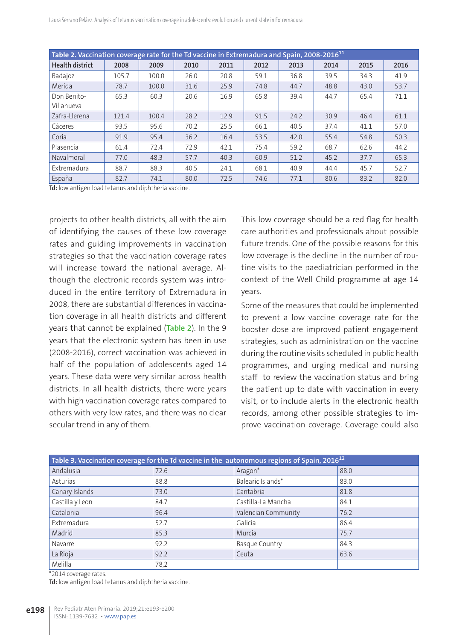| Table 2. Vaccination coverage rate for the Td vaccine in Extremadura and Spain, 2008-2016 <sup>11</sup> |       |       |      |      |      |      |      |      |      |
|---------------------------------------------------------------------------------------------------------|-------|-------|------|------|------|------|------|------|------|
| <b>Health district</b>                                                                                  | 2008  | 2009  | 2010 | 2011 | 2012 | 2013 | 2014 | 2015 | 2016 |
| Badajoz                                                                                                 | 105.7 | 100.0 | 26.0 | 20.8 | 59.1 | 36.8 | 39.5 | 34.3 | 41.9 |
| Merida                                                                                                  | 78.7  | 100.0 | 31.6 | 25.9 | 74.8 | 44.7 | 48.8 | 43.0 | 53.7 |
| Don Benito-<br>Villanueva                                                                               | 65.3  | 60.3  | 20.6 | 16.9 | 65.8 | 39.4 | 44.7 | 65.4 | 71.1 |
| Zafra-Llerena                                                                                           | 121.4 | 100.4 | 28.2 | 12.9 | 91.5 | 24.2 | 30.9 | 46.4 | 61.1 |
| Cáceres                                                                                                 | 93.5  | 95.6  | 70.2 | 25.5 | 66.1 | 40.5 | 37.4 | 41.1 | 57.0 |
| Coria                                                                                                   | 91.9  | 95.4  | 36.2 | 16.4 | 53.5 | 42.0 | 55.4 | 54.8 | 50.3 |
| Plasencia                                                                                               | 61.4  | 72.4  | 72.9 | 42.1 | 75.4 | 59.2 | 68.7 | 62.6 | 44.2 |
| Navalmoral                                                                                              | 77.0  | 48.3  | 57.7 | 40.3 | 60.9 | 51.2 | 45.2 | 37.7 | 65.3 |
| Extremadura                                                                                             | 88.7  | 88.3  | 40.5 | 24.1 | 68.1 | 40.9 | 44.4 | 45.7 | 52.7 |
| España                                                                                                  | 82.7  | 74.1  | 80.0 | 72.5 | 74.6 | 77.1 | 80.6 | 83.2 | 82.0 |

**Td:** low antigen load tetanus and diphtheria vaccine.

projects to other health districts, all with the aim of identifying the causes of these low coverage rates and guiding improvements in vaccination strategies so that the vaccination coverage rates will increase toward the national average. Although the electronic records system was introduced in the entire territory of Extremadura in 2008, there are substantial differences in vaccination coverage in all health districts and different years that cannot be explained (**Table 2**). In the 9 years that the electronic system has been in use (2008-2016), correct vaccination was achieved in half of the population of adolescents aged 14 years. These data were very similar across health districts. In all health districts, there were years with high vaccination coverage rates compared to others with very low rates, and there was no clear secular trend in any of them.

This low coverage should be a red flag for health care authorities and professionals about possible future trends. One of the possible reasons for this low coverage is the decline in the number of routine visits to the paediatrician performed in the context of the Well Child programme at age 14 years.

Some of the measures that could be implemented to prevent a low vaccine coverage rate for the booster dose are improved patient engagement strategies, such as administration on the vaccine during the routine visits scheduled in public health programmes, and urging medical and nursing staff to review the vaccination status and bring the patient up to date with vaccination in every visit, or to include alerts in the electronic health records, among other possible strategies to improve vaccination coverage. Coverage could also

| Table 3. Vaccination coverage for the Td vaccine in the autonomous regions of Spain, 2016 <sup>12</sup> |      |                     |      |  |  |  |
|---------------------------------------------------------------------------------------------------------|------|---------------------|------|--|--|--|
| Andalusia                                                                                               | 72.6 | Aragon*             | 88.0 |  |  |  |
| Asturias                                                                                                | 88.8 | Balearic Islands*   | 83.0 |  |  |  |
| Canary Islands                                                                                          | 73.0 | Cantabria           | 81.8 |  |  |  |
| Castilla y Leon                                                                                         | 84.7 | Castilla-La Mancha  | 84.1 |  |  |  |
| Catalonia                                                                                               | 96.4 | Valencian Community | 76.2 |  |  |  |
| Extremadura                                                                                             | 52.7 | Galicia             | 86.4 |  |  |  |
| Madrid                                                                                                  | 85.3 | Murcia              | 75.7 |  |  |  |
| Navarre                                                                                                 | 92.2 | Basque Country      | 84.3 |  |  |  |
| La Rioja                                                                                                | 92.2 | Ceuta               | 63.6 |  |  |  |
| Melilla                                                                                                 | 78,2 |                     |      |  |  |  |

**\***2014 coverage rates.

**Td:** low antigen load tetanus and diphtheria vaccine.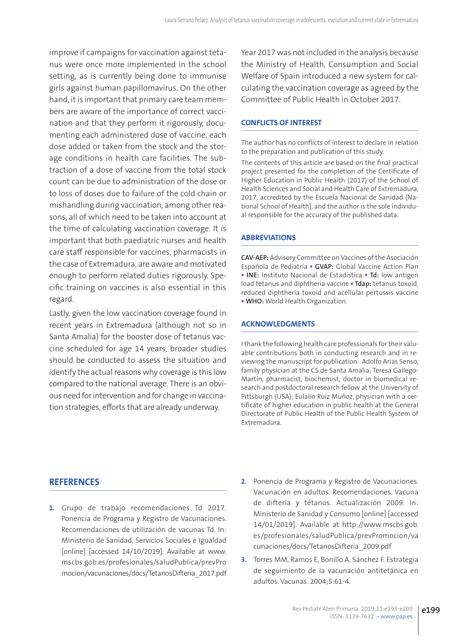improve if campaigns for vaccination against tetanus were once more implemented in the school setting, as is currently being done to immunise girls against human papillomavirus. On the other hand, it is important that primary care team members are aware of the importance of correct vaccination and that they perform it rigorously, documenting each administered dose of vaccine, each dose added or taken from the stock and the storage conditions in health care facilities. The subtraction of a dose of vaccine from the total stock count can be due to administration of the dose or to loss of doses due to failure of the cold chain or mishandling during vaccination, among other reasons, all of which need to be taken into account at the time of calculating vaccination coverage. It is important that both paediatric nurses and health care staff responsible for vaccines, pharmacists in the case of Extremadura, are aware and motivated enough to perform related duties rigorously. Specific training on vaccines is also essential in this regard.

Lastly, given the low vaccination coverage found in recent years in Extremadura (although not so in Santa Amalia) for the booster dose of tetanus vaccine scheduled for age 14 years, broader studies should be conducted to assess the situation and identify the actual reasons why coverage is this low compared to the national average. There is an obvious need for intervention and for change in vaccination strategies, efforts that are already underway.

Year 2017 was not included in the analysis because the Ministry of Health, Consumption and Social Welfare of Spain introduced a new system for calculating the vaccination coverage as agreed by the Committee of Public Health in October 2017.

#### **CONFLICTS OF INTEREST**

The author has no conflicts of interest to declare in relation to the preparation and publication of this study.

The contents of this article are based on the final practical project presented for the completion of the Certificate of Higher Education in Public Health (2017) of the School of Health Sciences and Social and Health Care of Extremadura, 2017, accredited by the Escuela Nacional de Sanidad (National School of Health), and the author is the sole individual responsible for the accuracy of the published data.

#### **ABBREVIATIONS**

**CAV-AEP:** Advisory Committee on Vaccines of the Asociación Española de Pediatría **• GVAP:** Global Vaccine Action Plan **• INE:** Instituto Nacional de Estadística **• Td:** low antigen load tetanus and diphtheria vaccine **• Tdap:** tetanus toxoid, reduced diphtheria toxoid and acellular pertussis vaccine **• WHO:** World Health Organization.

#### **ACKNOWLEDGMENTS**

I thank the following health care professionals for their valuable contributions both in conducting research and in reviewing the manuscript for publication: Adolfo Arias Senso, family physician at the CS de Santa Amalia; Teresa Gallego-Martín, pharmacist, biochemist, doctor in biomedical research and postdoctoral research fellow at the University of Pittsburgh (USA); Eulalio Ruiz Muñoz, physician with a certificate of higher education in public health at the General Directorate of Public Health of the Public Health System of Extremadura.

#### **REFERENCES**

- **1.** Grupo de trabajo recomendaciones Td 2017. Ponencia de Programa y Registro de Vacunaciones. Recomendaciones de utilización de vacunas Td. In: Ministerio de Sanidad, Servicios Sociales e Igualdad [online] [accessed 14/10/2019]. Available at [www.](http://www.mscbs.gob.es/profesionales/saludPublica/prevPromocion/vacunaciones/docs/TetanosDifteria_2017.pdf) [mscbs.gob.es/profesionales/saludPublica/prevPro](http://www.mscbs.gob.es/profesionales/saludPublica/prevPromocion/vacunaciones/docs/TetanosDifteria_2017.pdf) [mocion/vacunaciones/docs/TetanosDifteria\\_2017.pdf](http://www.mscbs.gob.es/profesionales/saludPublica/prevPromocion/vacunaciones/docs/TetanosDifteria_2017.pdf)
- **2.** Ponencia de Programa y Registro de Vacunaciones. Vacunación en adultos. Recomendaciones. Vacuna de difteria y tétanos. Actualización 2009. In: Ministerio de Sanidad y Consumo [online] [accessed 14/01/2019]. Available at [http://www.mscbs.gob.](http://www.mscbs.gob.es/profesionales/saludPublica/prevPromocion/vacunaciones/docs/TetanosDifteria_2009.pdf) [es/profesionales/saludPublica/prevPromocion/va](http://www.mscbs.gob.es/profesionales/saludPublica/prevPromocion/vacunaciones/docs/TetanosDifteria_2009.pdf) [cunaciones/docs/TetanosDifteria\\_2009.pdf](http://www.mscbs.gob.es/profesionales/saludPublica/prevPromocion/vacunaciones/docs/TetanosDifteria_2009.pdf)
- **3.** Torres MM, Ramos E, Bonillo A, Sánchez F. Estrategia de seguimiento de la vacunación antitetánica en adultos. [Vacunas. 2004;5:61-4.](https://www.elsevier.es/es-revista-vacunas-72-articulo-estrategia-seguimiento-vacunacion-antitetanica-adultos-S1576988704703660)